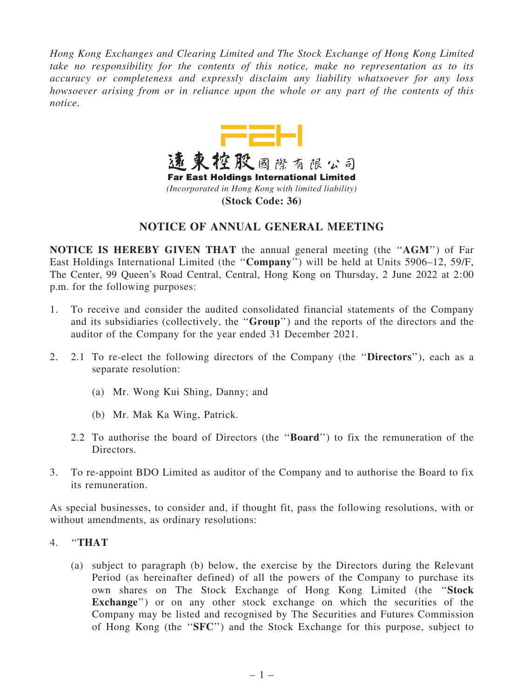*Hong Kong Exchanges and Clearing Limited and The Stock Exchange of Hong Kong Limited take no responsibility for the contents of this notice, make no representation as to its accuracy or completeness and expressly disclaim any liability whatsoever for any loss howsoever arising from or in reliance upon the whole or any part of the contents of this notice.*



## NOTICE OF ANNUAL GENERAL MEETING

NOTICE IS HEREBY GIVEN THAT the annual general meeting (the ''AGM'') of Far East Holdings International Limited (the ''Company'') will be held at Units 5906–12, 59/F, The Center, 99 Queen's Road Central, Central, Hong Kong on Thursday, 2 June 2022 at 2:00 p.m. for the following purposes:

- 1. To receive and consider the audited consolidated financial statements of the Company and its subsidiaries (collectively, the ''Group'') and the reports of the directors and the auditor of the Company for the year ended 31 December 2021.
- 2. 2.1 To re-elect the following directors of the Company (the ''Directors''), each as a separate resolution:
	- (a) Mr. Wong Kui Shing, Danny; and
	- (b) Mr. Mak Ka Wing, Patrick.
	- 2.2 To authorise the board of Directors (the ''Board'') to fix the remuneration of the Directors.
- 3. To re-appoint BDO Limited as auditor of the Company and to authorise the Board to fix its remuneration.

As special businesses, to consider and, if thought fit, pass the following resolutions, with or without amendments, as ordinary resolutions:

- 4. ''THAT
	- (a) subject to paragraph (b) below, the exercise by the Directors during the Relevant Period (as hereinafter defined) of all the powers of the Company to purchase its own shares on The Stock Exchange of Hong Kong Limited (the ''Stock Exchange") or on any other stock exchange on which the securities of the Company may be listed and recognised by The Securities and Futures Commission of Hong Kong (the ''SFC'') and the Stock Exchange for this purpose, subject to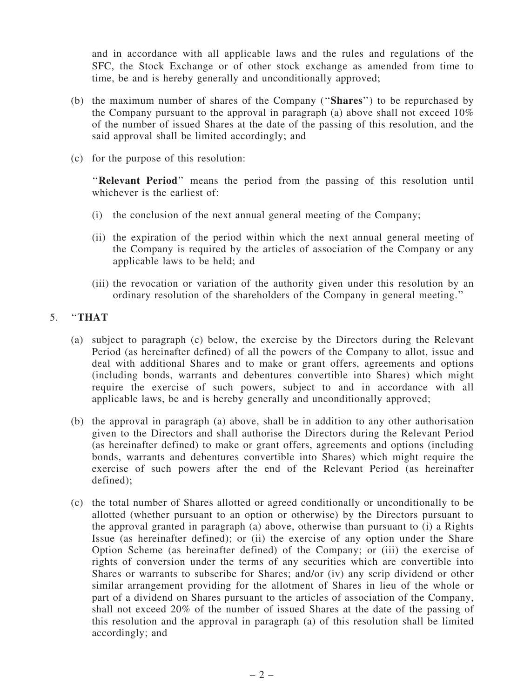and in accordance with all applicable laws and the rules and regulations of the SFC, the Stock Exchange or of other stock exchange as amended from time to time, be and is hereby generally and unconditionally approved;

- (b) the maximum number of shares of the Company (''Shares'') to be repurchased by the Company pursuant to the approval in paragraph (a) above shall not exceed 10% of the number of issued Shares at the date of the passing of this resolution, and the said approval shall be limited accordingly; and
- (c) for the purpose of this resolution:

"Relevant Period" means the period from the passing of this resolution until whichever is the earliest of:

- (i) the conclusion of the next annual general meeting of the Company;
- (ii) the expiration of the period within which the next annual general meeting of the Company is required by the articles of association of the Company or any applicable laws to be held; and
- (iii) the revocation or variation of the authority given under this resolution by an ordinary resolution of the shareholders of the Company in general meeting.''

## 5. ''THAT

- (a) subject to paragraph (c) below, the exercise by the Directors during the Relevant Period (as hereinafter defined) of all the powers of the Company to allot, issue and deal with additional Shares and to make or grant offers, agreements and options (including bonds, warrants and debentures convertible into Shares) which might require the exercise of such powers, subject to and in accordance with all applicable laws, be and is hereby generally and unconditionally approved;
- (b) the approval in paragraph (a) above, shall be in addition to any other authorisation given to the Directors and shall authorise the Directors during the Relevant Period (as hereinafter defined) to make or grant offers, agreements and options (including bonds, warrants and debentures convertible into Shares) which might require the exercise of such powers after the end of the Relevant Period (as hereinafter defined);
- (c) the total number of Shares allotted or agreed conditionally or unconditionally to be allotted (whether pursuant to an option or otherwise) by the Directors pursuant to the approval granted in paragraph (a) above, otherwise than pursuant to (i) a Rights Issue (as hereinafter defined); or (ii) the exercise of any option under the Share Option Scheme (as hereinafter defined) of the Company; or (iii) the exercise of rights of conversion under the terms of any securities which are convertible into Shares or warrants to subscribe for Shares; and/or (iv) any scrip dividend or other similar arrangement providing for the allotment of Shares in lieu of the whole or part of a dividend on Shares pursuant to the articles of association of the Company, shall not exceed 20% of the number of issued Shares at the date of the passing of this resolution and the approval in paragraph (a) of this resolution shall be limited accordingly; and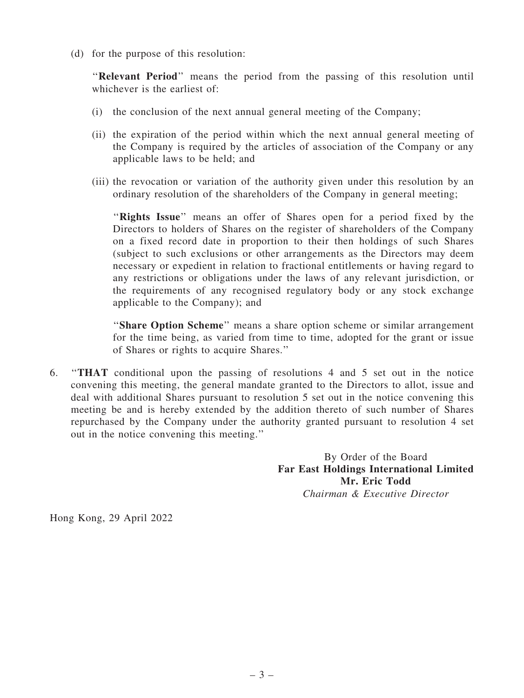(d) for the purpose of this resolution:

''Relevant Period'' means the period from the passing of this resolution until whichever is the earliest of:

- (i) the conclusion of the next annual general meeting of the Company;
- (ii) the expiration of the period within which the next annual general meeting of the Company is required by the articles of association of the Company or any applicable laws to be held; and
- (iii) the revocation or variation of the authority given under this resolution by an ordinary resolution of the shareholders of the Company in general meeting;

"Rights Issue" means an offer of Shares open for a period fixed by the Directors to holders of Shares on the register of shareholders of the Company on a fixed record date in proportion to their then holdings of such Shares (subject to such exclusions or other arrangements as the Directors may deem necessary or expedient in relation to fractional entitlements or having regard to any restrictions or obligations under the laws of any relevant jurisdiction, or the requirements of any recognised regulatory body or any stock exchange applicable to the Company); and

"Share Option Scheme" means a share option scheme or similar arrangement for the time being, as varied from time to time, adopted for the grant or issue of Shares or rights to acquire Shares.''

6. ''THAT conditional upon the passing of resolutions 4 and 5 set out in the notice convening this meeting, the general mandate granted to the Directors to allot, issue and deal with additional Shares pursuant to resolution 5 set out in the notice convening this meeting be and is hereby extended by the addition thereto of such number of Shares repurchased by the Company under the authority granted pursuant to resolution 4 set out in the notice convening this meeting.''

> By Order of the Board Far East Holdings International Limited Mr. Eric Todd *Chairman & Executive Director*

Hong Kong, 29 April 2022